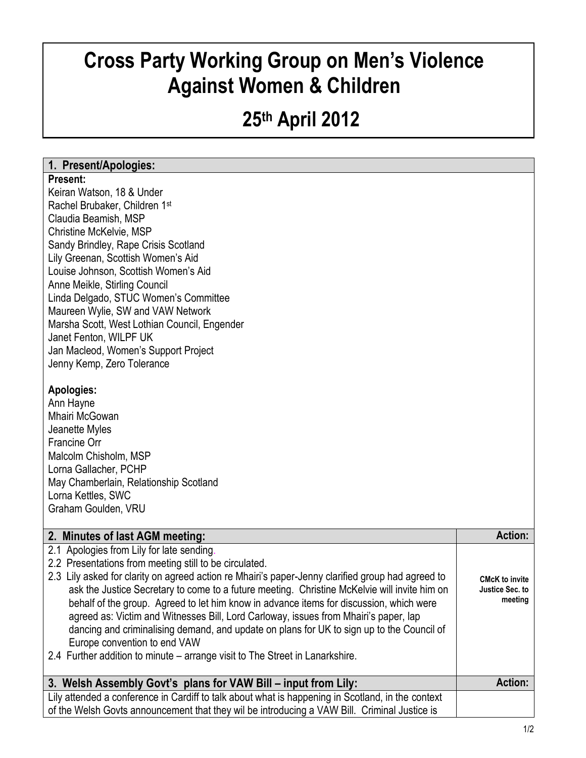# **Cross Party Working Group on Men's Violence Against Women & Children**

## **25th April 2012**

## **1. Present/Apologies:**

#### **Present:**

Keiran Watson, 18 & Under Rachel Brubaker, Children 1st Claudia Beamish, MSP Christine McKelvie, MSP Sandy Brindley, Rape Crisis Scotland Lily Greenan, Scottish Women's Aid Louise Johnson, Scottish Women's Aid Anne Meikle, Stirling Council Linda Delgado, STUC Women's Committee Maureen Wylie, SW and VAW Network Marsha Scott, West Lothian Council, Engender Janet Fenton, WILPF UK Jan Macleod, Women's Support Project Jenny Kemp, Zero Tolerance

### **Apologies:**

Ann Hayne Mhairi McGowan Jeanette Myles Francine Orr Malcolm Chisholm, MSP Lorna Gallacher, PCHP May Chamberlain, Relationship Scotland Lorna Kettles, SWC Graham Goulden, VRU

| 2. Minutes of last AGM meeting:                                                                                                                                                                                                                                                                                                                                                                                                                                                                                                                                                                                                                                                                          | <b>Action:</b>                                      |
|----------------------------------------------------------------------------------------------------------------------------------------------------------------------------------------------------------------------------------------------------------------------------------------------------------------------------------------------------------------------------------------------------------------------------------------------------------------------------------------------------------------------------------------------------------------------------------------------------------------------------------------------------------------------------------------------------------|-----------------------------------------------------|
| 2.1 Apologies from Lily for late sending.<br>2.2 Presentations from meeting still to be circulated.<br>2.3 Lily asked for clarity on agreed action re Mhairi's paper-Jenny clarified group had agreed to<br>ask the Justice Secretary to come to a future meeting. Christine McKelvie will invite him on<br>behalf of the group. Agreed to let him know in advance items for discussion, which were<br>agreed as: Victim and Witnesses Bill, Lord Carloway, issues from Mhairi's paper, lap<br>dancing and criminalising demand, and update on plans for UK to sign up to the Council of<br>Europe convention to end VAW<br>2.4 Further addition to minute – arrange visit to The Street in Lanarkshire. | <b>CMcK to invite</b><br>Justice Sec. to<br>meeting |
| 3. Welsh Assembly Govt's plans for VAW Bill – input from Lily:                                                                                                                                                                                                                                                                                                                                                                                                                                                                                                                                                                                                                                           | <b>Action:</b>                                      |
| Lily attended a conference in Cardiff to talk about what is happening in Scotland, in the context<br>of the Welsh Govts announcement that they wil be introducing a VAW Bill. Criminal Justice is                                                                                                                                                                                                                                                                                                                                                                                                                                                                                                        |                                                     |